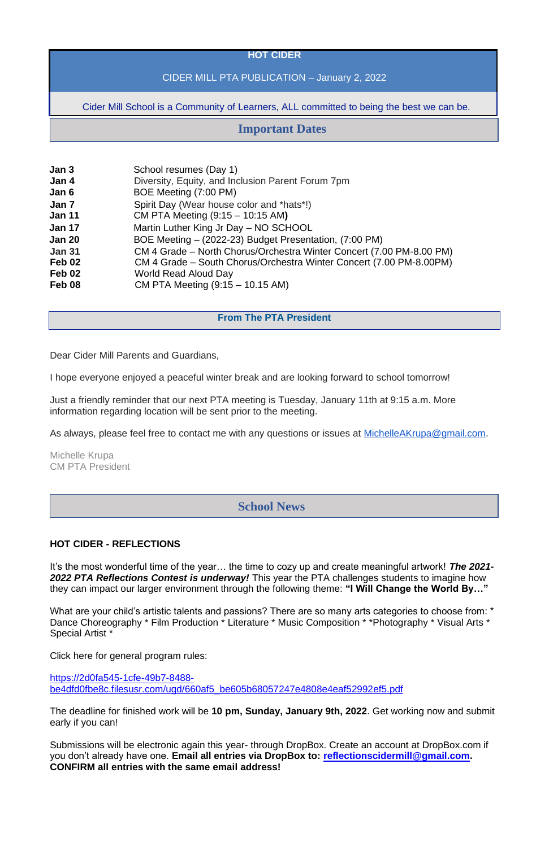### **HOT CIDER**

# CIDER MILL PTA PUBLICATION – January 2, 2022

Cider Mill School is a Community of Learners, ALL committed to being the best we can be.

| Jan 3         | School resumes (Day 1)                                               |
|---------------|----------------------------------------------------------------------|
| Jan 4         | Diversity, Equity, and Inclusion Parent Forum 7pm                    |
| Jan 6         | BOE Meeting (7:00 PM)                                                |
| Jan 7         | Spirit Day (Wear house color and *hats*!)                            |
| <b>Jan 11</b> | CM PTA Meeting (9:15 - 10:15 AM)                                     |
| <b>Jan 17</b> | Martin Luther King Jr Day - NO SCHOOL                                |
| <b>Jan 20</b> | BOE Meeting – (2022-23) Budget Presentation, (7:00 PM)               |
| <b>Jan 31</b> | CM 4 Grade – North Chorus/Orchestra Winter Concert (7.00 PM-8.00 PM) |
| Feb 02        | CM 4 Grade – South Chorus/Orchestra Winter Concert (7.00 PM-8.00PM)  |
| Feb 02        | <b>World Read Aloud Day</b>                                          |
| Feb 08        | CM PTA Meeting $(9:15 - 10.15 \text{ AM})$                           |

#### **From The PTA President**

Dear Cider Mill Parents and Guardians,

I hope everyone enjoyed a peaceful winter break and are looking forward to school tomorrow!

What are your child's artistic talents and passions? There are so many arts categories to choose from: \* Dance Choreography \* Film Production \* Literature \* Music Composition \* \*Photography \* Visual Arts \* Special Artist \*

Just a friendly reminder that our next PTA meeting is Tuesday, January 11th at 9:15 a.m. More information regarding location will be sent prior to the meeting.

As always, please feel free to contact me with any questions or issues at [MichelleAKrupa@gmail.com.](mailto:MichelleAKrupa@gmail.com)

Michelle Krupa CM PTA President

#### **HOT CIDER - REFLECTIONS**

It's the most wonderful time of the year… the time to cozy up and create meaningful artwork! *The 2021- 2022 PTA Reflections Contest is underway!* This year the PTA challenges students to imagine how they can impact our larger environment through the following theme: **"I Will Change the World By…"**

Click here for general program rules:

[https://2d0fa545-1cfe-49b7-8488](https://2d0fa545-1cfe-49b7-8488-be4dfd0fbe8c.filesusr.com/ugd/660af5_be605b68057247e4808e4eaf52992ef5.pdf) [be4dfd0fbe8c.filesusr.com/ugd/660af5\\_be605b68057247e4808e4eaf52992ef5.pdf](https://2d0fa545-1cfe-49b7-8488-be4dfd0fbe8c.filesusr.com/ugd/660af5_be605b68057247e4808e4eaf52992ef5.pdf)

The deadline for finished work will be **10 pm, Sunday, January 9th, 2022**. Get working now and submit early if you can!

Submissions will be electronic again this year- through DropBox. Create an account at DropBox.com if you don't already have one. **Email all entries via DropBox to: [reflectionscidermill@gmail.com.](mailto:reflectionscidermill@gmail.com) CONFIRM all entries with the same email address!**

# **Important Dates**

**School News**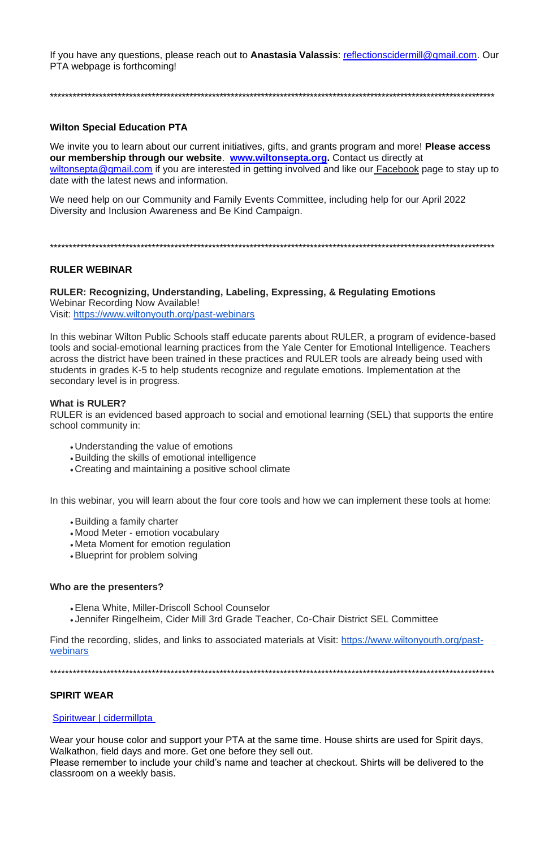If you have any questions, please reach out to **Anastasia Valassis:** reflectionscidermill@gmail.com. Our PTA webpage is forthcoming!

# **Wilton Special Education PTA**

We invite you to learn about our current initiatives, gifts, and grants program and more! Please access our membership through our website. www.wiltonsepta.org. Contact us directly at wiltonsepta@gmail.com if you are interested in getting involved and like our Facebook page to stay up to date with the latest news and information.

We need help on our Community and Family Events Committee, including help for our April 2022 Diversity and Inclusion Awareness and Be Kind Campaign.

# **RULER WEBINAR**

RULER: Recognizing, Understanding, Labeling, Expressing, & Regulating Emotions **Webinar Recording Now Available!** Visit: https://www.wiltonyouth.org/past-webinars

In this webinar Wilton Public Schools staff educate parents about RULER, a program of evidence-based tools and social-emotional learning practices from the Yale Center for Emotional Intelligence. Teachers across the district have been trained in these practices and RULER tools are already being used with students in grades K-5 to help students recognize and regulate emotions. Implementation at the secondary level is in progress.

### **What is RULER?**

RULER is an evidenced based approach to social and emotional learning (SEL) that supports the entire school community in:

- Understanding the value of emotions
- Building the skills of emotional intelligence
- Creating and maintaining a positive school climate

In this webinar, you will learn about the four core tools and how we can implement these tools at home:

- Building a family charter
- Mood Meter emotion vocabulary
- Meta Moment for emotion regulation
- Blueprint for problem solving

### Who are the presenters?

- Elena White, Miller-Driscoll School Counselor
- Jennifer Ringelheim, Cider Mill 3rd Grade Teacher, Co-Chair District SEL Committee

Find the recording, slides, and links to associated materials at Visit: https://www.wiltonyouth.org/pastwebinars

#### **SPIRIT WEAR**

Spiritwear | cidermillpta

Wear your house color and support your PTA at the same time. House shirts are used for Spirit days, Walkathon, field days and more. Get one before they sell out. Please remember to include your child's name and teacher at checkout. Shirts will be delivered to the classroom on a weekly basis.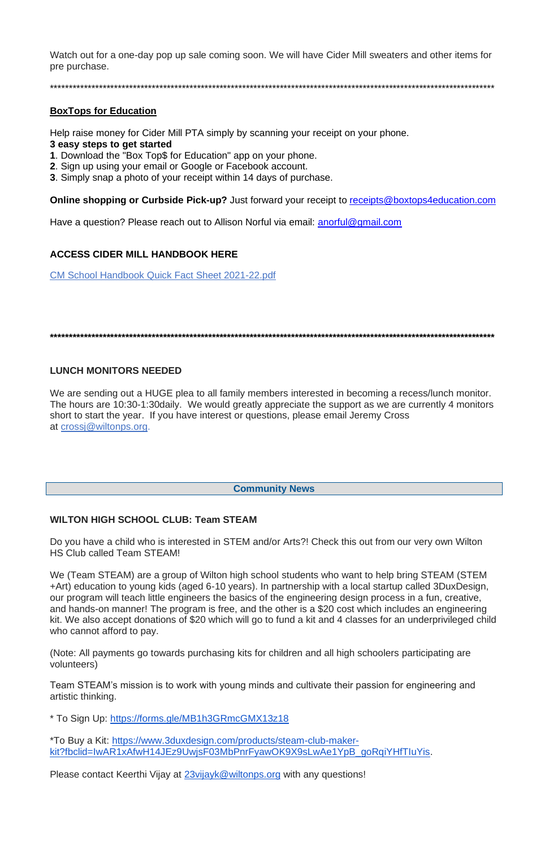Watch out for a one-day pop up sale coming soon. We will have Cider Mill sweaters and other items for pre purchase.

### **BoxTops for Education**

Help raise money for Cider Mill PTA simply by scanning your receipt on your phone.

#### 3 easy steps to get started

- 1. Download the "Box Top\$ for Education" app on your phone.
- 2. Sign up using your email or Google or Facebook account.
- 3. Simply snap a photo of your receipt within 14 days of purchase.

**Online shopping or Curbside Pick-up?** Just forward your receipt to receipts@boxtops4education.com

Have a question? Please reach out to Allison Norful via email: anorful@gmail.com

# **ACCESS CIDER MILL HANDBOOK HERE**

**CM School Handbook Quick Fact Sheet 2021-22.pdf** 

### **LUNCH MONITORS NEEDED**

We are sending out a HUGE plea to all family members interested in becoming a recess/lunch monitor. The hours are 10:30-1:30 daily. We would greatly appreciate the support as we are currently 4 monitors short to start the year. If you have interest or questions, please email Jeremy Cross at crossi@wiltonps.org.

#### **Community News**

### **WILTON HIGH SCHOOL CLUB: Team STEAM**

Do you have a child who is interested in STEM and/or Arts?! Check this out from our very own Wilton HS Club called Team STEAM!

We (Team STEAM) are a group of Wilton high school students who want to help bring STEAM (STEM +Art) education to young kids (aged 6-10 years). In partnership with a local startup called 3DuxDesign, our program will teach little engineers the basics of the engineering design process in a fun, creative, and hands-on manner! The program is free, and the other is a \$20 cost which includes an engineering kit. We also accept donations of \$20 which will go to fund a kit and 4 classes for an underprivileged child who cannot afford to pay.

(Note: All payments go towards purchasing kits for children and all high schoolers participating are volunteers)

Team STEAM's mission is to work with young minds and cultivate their passion for engineering and artistic thinking.

\* To Sign Up: https://forms.gle/MB1h3GRmcGMX13z18

\*To Buy a Kit: https://www.3duxdesign.com/products/steam-club-makerkit?fbclid=IwAR1xAfwH14JEz9UwjsF03MbPnrFyawOK9X9sLwAe1YpB\_goRqiYHfTluYis.

Please contact Keerthi Vijay at 23 vijay k@wiltonps.org with any questions!